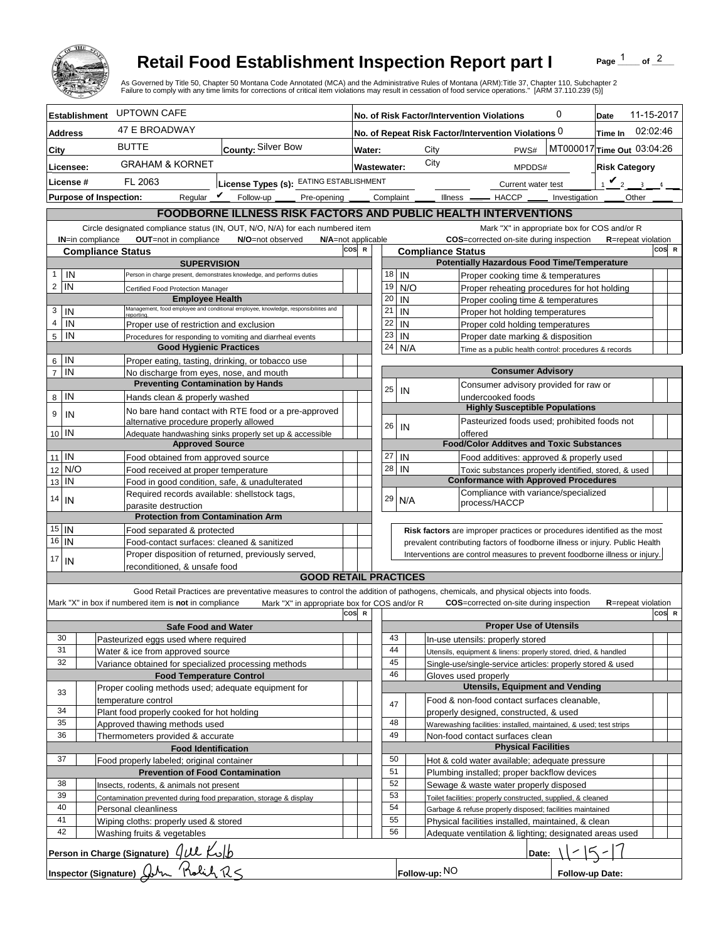

## **Retail Food Establishment Inspection Report part I**

Page  $\frac{1}{1}$  of  $\frac{2}{1}$ 

|                                                                                                                                                                                                  |                                                                                     |                                                                                         | <b>Retail Food Establishment Inspection Report part I</b><br>As Governed by Title 50, Chapter 50 Montana Code Annotated (MCA) and the Administrative Rules of Montana (ARM):Title 37, Chapter 110, Subchapter 2<br>Failure to comply with any time limits for corrections of critical item violations may result in cessation of food service operations." [ARM 37.110.239 (5)] |     |                    |                                                                              |          |                                            |                                       |                                                                                                              |                                        | Page    |                            | of $^2$ |  |
|--------------------------------------------------------------------------------------------------------------------------------------------------------------------------------------------------|-------------------------------------------------------------------------------------|-----------------------------------------------------------------------------------------|---------------------------------------------------------------------------------------------------------------------------------------------------------------------------------------------------------------------------------------------------------------------------------------------------------------------------------------------------------------------------------|-----|--------------------|------------------------------------------------------------------------------|----------|--------------------------------------------|---------------------------------------|--------------------------------------------------------------------------------------------------------------|----------------------------------------|---------|----------------------------|---------|--|
| <b>Establishment</b>                                                                                                                                                                             |                                                                                     | <b>UPTOWN CAFE</b>                                                                      |                                                                                                                                                                                                                                                                                                                                                                                 |     |                    |                                                                              |          | No. of Risk Factor/Intervention Violations |                                       |                                                                                                              | 0                                      | Date    | 11-15-2017                 |         |  |
| <b>Address</b>                                                                                                                                                                                   |                                                                                     | <b>47 E BROADWAY</b>                                                                    |                                                                                                                                                                                                                                                                                                                                                                                 |     |                    |                                                                              |          |                                            |                                       | No. of Repeat Risk Factor/Intervention Violations 0                                                          |                                        | Time In | 02:02:46                   |         |  |
| City                                                                                                                                                                                             |                                                                                     | <b>BUTTE</b>                                                                            | County: Silver Bow                                                                                                                                                                                                                                                                                                                                                              |     | Water:             |                                                                              |          | City                                       |                                       | PWS#                                                                                                         | MT000017 Time Out 03:04:26             |         |                            |         |  |
|                                                                                                                                                                                                  |                                                                                     | <b>GRAHAM &amp; KORNET</b>                                                              |                                                                                                                                                                                                                                                                                                                                                                                 |     |                    |                                                                              |          | City                                       |                                       | MPDDS#                                                                                                       |                                        |         |                            |         |  |
|                                                                                                                                                                                                  | Licensee:<br>License #<br>FL 2063<br>License Types (s): EATING ESTABLISHMENT        |                                                                                         |                                                                                                                                                                                                                                                                                                                                                                                 |     | <b>Wastewater:</b> |                                                                              |          |                                            |                                       |                                                                                                              | <b>Risk Category</b><br>$\mathbf{v}_2$ |         |                            |         |  |
|                                                                                                                                                                                                  | <b>Purpose of Inspection:</b>                                                       | Regular $\mathbf{V}$                                                                    | Follow-up<br>Pre-opening                                                                                                                                                                                                                                                                                                                                                        |     |                    | Complaint                                                                    |          |                                            |                                       | Current water test<br>Illness <u>- HACCP</u> -                                                               | Investigation                          |         | $\sim$ 3.1<br>Other        |         |  |
|                                                                                                                                                                                                  |                                                                                     |                                                                                         |                                                                                                                                                                                                                                                                                                                                                                                 |     |                    |                                                                              |          |                                            |                                       |                                                                                                              |                                        |         |                            |         |  |
| FOODBORNE ILLNESS RISK FACTORS AND PUBLIC HEALTH INTERVENTIONS<br>Circle designated compliance status (IN, OUT, N/O, N/A) for each numbered item<br>Mark "X" in appropriate box for COS and/or R |                                                                                     |                                                                                         |                                                                                                                                                                                                                                                                                                                                                                                 |     |                    |                                                                              |          |                                            |                                       |                                                                                                              |                                        |         |                            |         |  |
| OUT=not in compliance<br>IN=in compliance<br>N/O=not observed<br>N/A=not applicable                                                                                                              |                                                                                     |                                                                                         |                                                                                                                                                                                                                                                                                                                                                                                 |     |                    |                                                                              |          |                                            |                                       | COS=corrected on-site during inspection                                                                      |                                        |         | <b>R</b> =repeat violation |         |  |
| cos<br><b>Compliance Status</b>                                                                                                                                                                  |                                                                                     |                                                                                         |                                                                                                                                                                                                                                                                                                                                                                                 |     |                    |                                                                              |          | <b>Compliance Status</b>                   |                                       |                                                                                                              |                                        |         |                            | COS R   |  |
|                                                                                                                                                                                                  |                                                                                     | <b>SUPERVISION</b>                                                                      |                                                                                                                                                                                                                                                                                                                                                                                 |     |                    |                                                                              |          |                                            |                                       | <b>Potentially Hazardous Food Time/Temperature</b>                                                           |                                        |         |                            |         |  |
| IN<br>1<br>IN<br>2                                                                                                                                                                               |                                                                                     |                                                                                         | Person in charge present, demonstrates knowledge, and performs duties                                                                                                                                                                                                                                                                                                           |     |                    | 18<br>19                                                                     | IN       |                                            |                                       | Proper cooking time & temperatures                                                                           |                                        |         |                            |         |  |
|                                                                                                                                                                                                  |                                                                                     | Certified Food Protection Manager<br><b>Employee Health</b>                             |                                                                                                                                                                                                                                                                                                                                                                                 |     |                    | 20                                                                           | IN       | N/O                                        |                                       | Proper reheating procedures for hot holding<br>Proper cooling time & temperatures                            |                                        |         |                            |         |  |
| IN<br>3                                                                                                                                                                                          |                                                                                     |                                                                                         | Management, food employee and conditional employee, knowledge, responsibiliites and                                                                                                                                                                                                                                                                                             |     |                    | 21                                                                           | IN       |                                            |                                       | Proper hot holding temperatures                                                                              |                                        |         |                            |         |  |
| 4<br>IN                                                                                                                                                                                          |                                                                                     | Proper use of restriction and exclusion                                                 |                                                                                                                                                                                                                                                                                                                                                                                 |     |                    | 22                                                                           | IN       |                                            |                                       | Proper cold holding temperatures                                                                             |                                        |         |                            |         |  |
| IN<br>5                                                                                                                                                                                          |                                                                                     |                                                                                         | Procedures for responding to vomiting and diarrheal events                                                                                                                                                                                                                                                                                                                      |     |                    | 23                                                                           | IN       |                                            |                                       | Proper date marking & disposition                                                                            |                                        |         |                            |         |  |
|                                                                                                                                                                                                  |                                                                                     | <b>Good Hygienic Practices</b>                                                          |                                                                                                                                                                                                                                                                                                                                                                                 |     |                    | 24                                                                           |          | N/A                                        |                                       | Time as a public health control: procedures & records                                                        |                                        |         |                            |         |  |
| IN<br>6<br>IN<br>$\overline{7}$                                                                                                                                                                  |                                                                                     | Proper eating, tasting, drinking, or tobacco use                                        |                                                                                                                                                                                                                                                                                                                                                                                 |     |                    |                                                                              |          |                                            |                                       | <b>Consumer Advisory</b>                                                                                     |                                        |         |                            |         |  |
|                                                                                                                                                                                                  | No discharge from eyes, nose, and mouth<br><b>Preventing Contamination by Hands</b> |                                                                                         |                                                                                                                                                                                                                                                                                                                                                                                 |     |                    |                                                                              |          |                                            | Consumer advisory provided for raw or |                                                                                                              |                                        |         |                            |         |  |
| IN<br>8                                                                                                                                                                                          |                                                                                     | Hands clean & properly washed                                                           |                                                                                                                                                                                                                                                                                                                                                                                 |     |                    | 25                                                                           | IN       |                                            |                                       | undercooked foods                                                                                            |                                        |         |                            |         |  |
| 9<br>IN                                                                                                                                                                                          |                                                                                     |                                                                                         | No bare hand contact with RTE food or a pre-approved                                                                                                                                                                                                                                                                                                                            |     |                    |                                                                              |          |                                            |                                       | <b>Highly Susceptible Populations</b>                                                                        |                                        |         |                            |         |  |
| 10 IN                                                                                                                                                                                            |                                                                                     | alternative procedure properly allowed                                                  |                                                                                                                                                                                                                                                                                                                                                                                 |     |                    | 26                                                                           | IN       |                                            |                                       | Pasteurized foods used; prohibited foods not                                                                 |                                        |         |                            |         |  |
|                                                                                                                                                                                                  |                                                                                     | <b>Approved Source</b>                                                                  | Adequate handwashing sinks properly set up & accessible                                                                                                                                                                                                                                                                                                                         |     |                    |                                                                              |          |                                            | offered                               | <b>Food/Color Additves and Toxic Substances</b>                                                              |                                        |         |                            |         |  |
| $11$ IN                                                                                                                                                                                          |                                                                                     | Food obtained from approved source                                                      |                                                                                                                                                                                                                                                                                                                                                                                 |     |                    | 27                                                                           | IN       |                                            |                                       | Food additives: approved & properly used                                                                     |                                        |         |                            |         |  |
| N/O<br>12                                                                                                                                                                                        |                                                                                     | Food received at proper temperature                                                     |                                                                                                                                                                                                                                                                                                                                                                                 |     |                    | 28                                                                           | IN       |                                            |                                       | Toxic substances properly identified, stored, & used                                                         |                                        |         |                            |         |  |
| IN<br>13                                                                                                                                                                                         |                                                                                     | Food in good condition, safe, & unadulterated                                           |                                                                                                                                                                                                                                                                                                                                                                                 |     |                    |                                                                              |          |                                            |                                       | <b>Conformance with Approved Procedures</b>                                                                  |                                        |         |                            |         |  |
| 14<br>IN                                                                                                                                                                                         |                                                                                     | Required records available: shellstock tags,                                            |                                                                                                                                                                                                                                                                                                                                                                                 |     |                    | 29                                                                           |          | N/A                                        |                                       | Compliance with variance/specialized<br>process/HACCP                                                        |                                        |         |                            |         |  |
|                                                                                                                                                                                                  |                                                                                     | parasite destruction<br><b>Protection from Contamination Arm</b>                        |                                                                                                                                                                                                                                                                                                                                                                                 |     |                    |                                                                              |          |                                            |                                       |                                                                                                              |                                        |         |                            |         |  |
| $15$   IN                                                                                                                                                                                        |                                                                                     | Food separated & protected                                                              |                                                                                                                                                                                                                                                                                                                                                                                 |     |                    |                                                                              |          |                                            |                                       | Risk factors are improper practices or procedures identified as the most                                     |                                        |         |                            |         |  |
| $16$ IN                                                                                                                                                                                          | Food-contact surfaces: cleaned & sanitized                                          |                                                                                         |                                                                                                                                                                                                                                                                                                                                                                                 |     |                    | prevalent contributing factors of foodborne illness or injury. Public Health |          |                                            |                                       |                                                                                                              |                                        |         |                            |         |  |
| 17<br>IN                                                                                                                                                                                         | Proper disposition of returned, previously served,                                  |                                                                                         |                                                                                                                                                                                                                                                                                                                                                                                 |     |                    |                                                                              |          |                                            |                                       | Interventions are control measures to prevent foodborne illness or injury.                                   |                                        |         |                            |         |  |
|                                                                                                                                                                                                  |                                                                                     | reconditioned. & unsafe food                                                            |                                                                                                                                                                                                                                                                                                                                                                                 |     |                    |                                                                              |          |                                            |                                       |                                                                                                              |                                        |         |                            |         |  |
|                                                                                                                                                                                                  |                                                                                     |                                                                                         | <b>GOOD RETAIL PRACTICES</b>                                                                                                                                                                                                                                                                                                                                                    |     |                    |                                                                              |          |                                            |                                       |                                                                                                              |                                        |         |                            |         |  |
|                                                                                                                                                                                                  |                                                                                     | Mark "X" in box if numbered item is not in compliance                                   | Good Retail Practices are preventative measures to control the addition of pathogens, chemicals, and physical objects into foods.<br>Mark "X" in appropriate box for COS and/or R                                                                                                                                                                                               |     |                    |                                                                              |          |                                            |                                       | <b>COS</b> =corrected on-site during inspection                                                              |                                        |         | <b>R</b> =repeat violation |         |  |
|                                                                                                                                                                                                  |                                                                                     |                                                                                         |                                                                                                                                                                                                                                                                                                                                                                                 | cos |                    |                                                                              |          |                                            |                                       |                                                                                                              |                                        |         |                            | COS R   |  |
|                                                                                                                                                                                                  |                                                                                     | <b>Safe Food and Water</b>                                                              |                                                                                                                                                                                                                                                                                                                                                                                 |     |                    |                                                                              |          |                                            |                                       | <b>Proper Use of Utensils</b>                                                                                |                                        |         |                            |         |  |
| 30                                                                                                                                                                                               |                                                                                     | Pasteurized eggs used where required                                                    |                                                                                                                                                                                                                                                                                                                                                                                 |     |                    |                                                                              | 43       |                                            |                                       | In-use utensils: properly stored                                                                             |                                        |         |                            |         |  |
| 31<br>32                                                                                                                                                                                         |                                                                                     | Water & ice from approved source                                                        |                                                                                                                                                                                                                                                                                                                                                                                 |     |                    |                                                                              | 44<br>45 |                                            |                                       | Utensils, equipment & linens: properly stored, dried, & handled                                              |                                        |         |                            |         |  |
|                                                                                                                                                                                                  |                                                                                     | Variance obtained for specialized processing methods<br><b>Food Temperature Control</b> |                                                                                                                                                                                                                                                                                                                                                                                 |     |                    |                                                                              | 46       |                                            | Gloves used properly                  | Single-use/single-service articles: properly stored & used                                                   |                                        |         |                            |         |  |
|                                                                                                                                                                                                  |                                                                                     | Proper cooling methods used; adequate equipment for                                     |                                                                                                                                                                                                                                                                                                                                                                                 |     |                    |                                                                              |          |                                            |                                       | <b>Utensils, Equipment and Vending</b>                                                                       |                                        |         |                            |         |  |
| 33                                                                                                                                                                                               |                                                                                     | temperature control                                                                     |                                                                                                                                                                                                                                                                                                                                                                                 |     |                    |                                                                              | 47       |                                            |                                       | Food & non-food contact surfaces cleanable,                                                                  |                                        |         |                            |         |  |
| 34                                                                                                                                                                                               |                                                                                     | Plant food properly cooked for hot holding                                              |                                                                                                                                                                                                                                                                                                                                                                                 |     |                    |                                                                              |          |                                            |                                       | properly designed, constructed, & used                                                                       |                                        |         |                            |         |  |
| 35<br>36                                                                                                                                                                                         |                                                                                     | Approved thawing methods used                                                           |                                                                                                                                                                                                                                                                                                                                                                                 |     |                    |                                                                              | 48<br>49 |                                            |                                       | Warewashing facilities: installed, maintained, & used; test strips                                           |                                        |         |                            |         |  |
|                                                                                                                                                                                                  |                                                                                     | Thermometers provided & accurate                                                        |                                                                                                                                                                                                                                                                                                                                                                                 |     |                    |                                                                              |          |                                            |                                       | Non-food contact surfaces clean<br><b>Physical Facilities</b>                                                |                                        |         |                            |         |  |
| <b>Food Identification</b><br>37<br>Food properly labeled; original container                                                                                                                    |                                                                                     |                                                                                         |                                                                                                                                                                                                                                                                                                                                                                                 |     |                    |                                                                              | 50       |                                            |                                       | Hot & cold water available; adequate pressure                                                                |                                        |         |                            |         |  |
|                                                                                                                                                                                                  | <b>Prevention of Food Contamination</b>                                             |                                                                                         |                                                                                                                                                                                                                                                                                                                                                                                 |     |                    |                                                                              | 51       |                                            |                                       | Plumbing installed; proper backflow devices                                                                  |                                        |         |                            |         |  |
| 38                                                                                                                                                                                               | Insects, rodents, & animals not present                                             |                                                                                         |                                                                                                                                                                                                                                                                                                                                                                                 |     |                    | 52<br>Sewage & waste water properly disposed                                 |          |                                            |                                       |                                                                                                              |                                        |         |                            |         |  |
| 39                                                                                                                                                                                               | Contamination prevented during food preparation, storage & display                  |                                                                                         |                                                                                                                                                                                                                                                                                                                                                                                 |     |                    | 53<br>Toilet facilities: properly constructed, supplied, & cleaned<br>54     |          |                                            |                                       |                                                                                                              |                                        |         |                            |         |  |
| 40<br>41                                                                                                                                                                                         |                                                                                     | Personal cleanliness                                                                    |                                                                                                                                                                                                                                                                                                                                                                                 |     |                    |                                                                              | 55       |                                            |                                       | Garbage & refuse properly disposed; facilities maintained                                                    |                                        |         |                            |         |  |
| 42                                                                                                                                                                                               |                                                                                     | Wiping cloths: properly used & stored<br>Washing fruits & vegetables                    |                                                                                                                                                                                                                                                                                                                                                                                 |     |                    |                                                                              | 56       |                                            |                                       | Physical facilities installed, maintained, & clean<br>Adequate ventilation & lighting; designated areas used |                                        |         |                            |         |  |
|                                                                                                                                                                                                  |                                                                                     |                                                                                         |                                                                                                                                                                                                                                                                                                                                                                                 |     |                    |                                                                              |          |                                            |                                       |                                                                                                              |                                        |         |                            |         |  |
|                                                                                                                                                                                                  |                                                                                     | <u>Person in Charge (Signature) (JUL Kolb</u>                                           |                                                                                                                                                                                                                                                                                                                                                                                 |     |                    |                                                                              |          |                                            |                                       | Date:                                                                                                        |                                        |         |                            |         |  |
|                                                                                                                                                                                                  |                                                                                     | Inspector (Signature) $Q_{\text{max}}$ Rolich $R$                                       |                                                                                                                                                                                                                                                                                                                                                                                 |     |                    |                                                                              |          | Follow-up: NO                              |                                       |                                                                                                              | Follow-up Date:                        |         |                            |         |  |